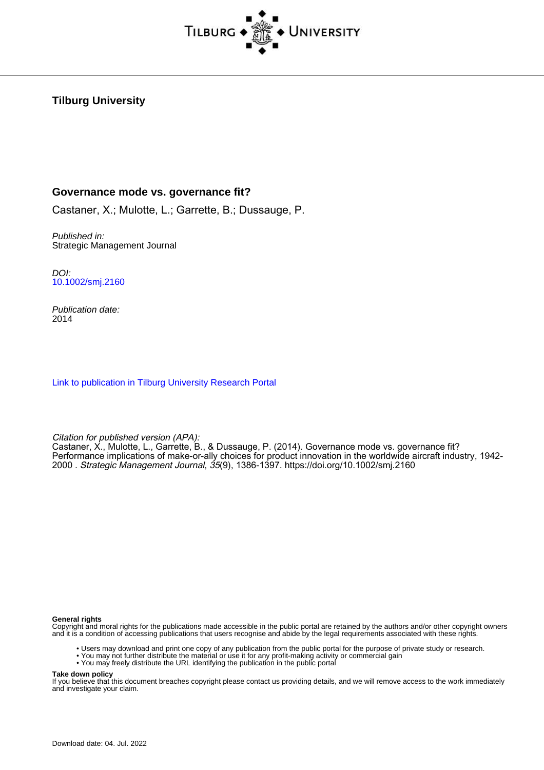

# **Tilburg University**

## **Governance mode vs. governance fit?**

Castaner, X.; Mulotte, L.; Garrette, B.; Dussauge, P.

Published in: Strategic Management Journal

DOI: [10.1002/smj.2160](https://doi.org/10.1002/smj.2160)

Publication date: 2014

[Link to publication in Tilburg University Research Portal](https://research.tilburguniversity.edu/en/publications/a5741dc4-b632-4fae-9632-8e25772a3f5e)

Citation for published version (APA):

Castaner, X., Mulotte, L., Garrette, B., & Dussauge, P. (2014). Governance mode vs. governance fit? Performance implications of make-or-ally choices for product innovation in the worldwide aircraft industry, 1942- 2000 . Strategic Management Journal, 35(9), 1386-1397.<https://doi.org/10.1002/smj.2160>

#### **General rights**

Copyright and moral rights for the publications made accessible in the public portal are retained by the authors and/or other copyright owners and it is a condition of accessing publications that users recognise and abide by the legal requirements associated with these rights.

- Users may download and print one copy of any publication from the public portal for the purpose of private study or research.
- You may not further distribute the material or use it for any profit-making activity or commercial gain
- You may freely distribute the URL identifying the publication in the public portal

#### **Take down policy**

If you believe that this document breaches copyright please contact us providing details, and we will remove access to the work immediately and investigate your claim.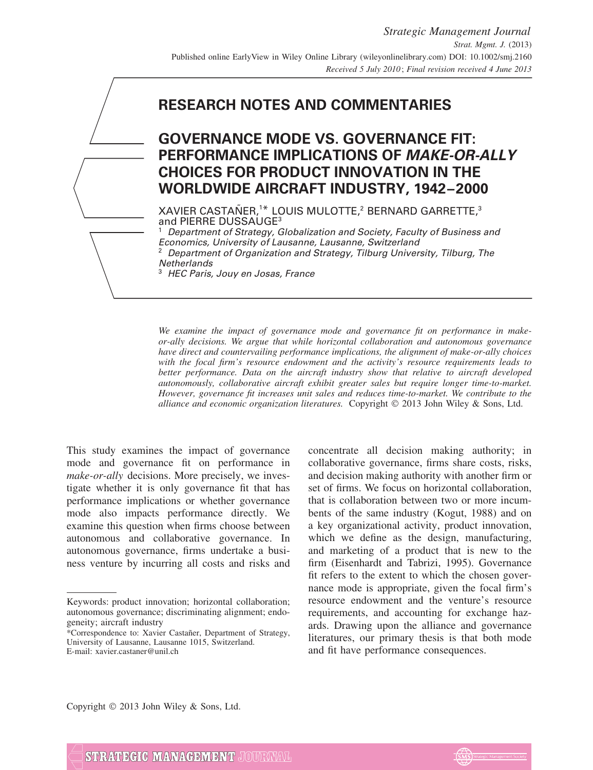

# **GOVERNANCE MODE VS. GOVERNANCE FIT: PERFORMANCE IMPLICATIONS OF MAKE-OR-ALLY CHOICES FOR PRODUCT INNOVATION IN THE WORLDWIDE AIRCRAFT INDUSTRY, 1942–2000**

XAVIER CASTAÑER,<sup>1\*</sup> LOUIS MULOTTE,<sup>2</sup> BERNARD GARRETTE,<sup>3</sup> and PIERRE DUSSAUGE3

Department of Strategy, Globalization and Society, Faculty of Business and Economics, University of Lausanne, Lausanne, Switzerland <sup>2</sup> Department of Organization and Strategy, Tilburg University, Tilburg, The **Netherlands** 

<sup>3</sup> HEC Paris, Jouy en Josas, France

*We examine the impact of governance mode and governance fit on performance in makeor-ally decisions. We argue that while horizontal collaboration and autonomous governance have direct and countervailing performance implications, the alignment of make-or-ally choices with the focal firm's resource endowment and the activity's resource requirements leads to better performance. Data on the aircraft industry show that relative to aircraft developed autonomously, collaborative aircraft exhibit greater sales but require longer time-to-market. However, governance fit increases unit sales and reduces time-to-market. We contribute to the alliance and economic organization literatures.* Copyright 2013 John Wiley & Sons, Ltd.

This study examines the impact of governance mode and governance fit on performance in *make-or-ally* decisions. More precisely, we investigate whether it is only governance fit that has performance implications or whether governance mode also impacts performance directly. We examine this question when firms choose between autonomous and collaborative governance. In autonomous governance, firms undertake a business venture by incurring all costs and risks and concentrate all decision making authority; in collaborative governance, firms share costs, risks, and decision making authority with another firm or set of firms. We focus on horizontal collaboration, that is collaboration between two or more incumbents of the same industry (Kogut, 1988) and on a key organizational activity, product innovation, which we define as the design, manufacturing, and marketing of a product that is new to the firm (Eisenhardt and Tabrizi, 1995). Governance fit refers to the extent to which the chosen governance mode is appropriate, given the focal firm's resource endowment and the venture's resource requirements, and accounting for exchange hazards. Drawing upon the alliance and governance literatures, our primary thesis is that both mode and fit have performance consequences.

Copyright  $©$  2013 John Wiley & Sons, Ltd.



Keywords: product innovation; horizontal collaboration; autonomous governance; discriminating alignment; endogeneity; aircraft industry

<sup>\*</sup>Correspondence to: Xavier Castaner, Department of Strategy, ˜ University of Lausanne, Lausanne 1015, Switzerland. E-mail: xavier.castaner@unil.ch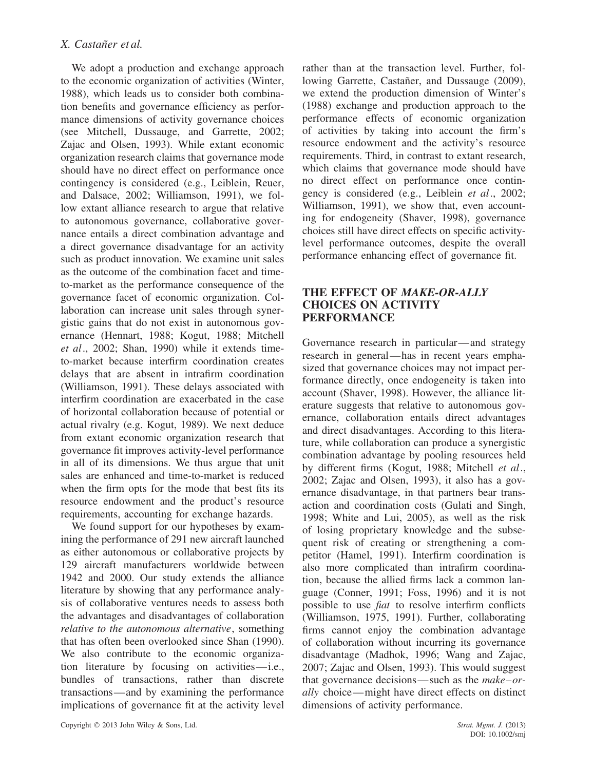We adopt a production and exchange approach to the economic organization of activities (Winter, 1988), which leads us to consider both combination benefits and governance efficiency as performance dimensions of activity governance choices (see Mitchell, Dussauge, and Garrette, 2002; Zajac and Olsen, 1993). While extant economic organization research claims that governance mode should have no direct effect on performance once contingency is considered (e.g., Leiblein, Reuer, and Dalsace, 2002; Williamson, 1991), we follow extant alliance research to argue that relative to autonomous governance, collaborative governance entails a direct combination advantage and a direct governance disadvantage for an activity such as product innovation. We examine unit sales as the outcome of the combination facet and timeto-market as the performance consequence of the governance facet of economic organization. Collaboration can increase unit sales through synergistic gains that do not exist in autonomous governance (Hennart, 1988; Kogut, 1988; Mitchell *et al*., 2002; Shan, 1990) while it extends timeto-market because interfirm coordination creates delays that are absent in intrafirm coordination (Williamson, 1991). These delays associated with interfirm coordination are exacerbated in the case of horizontal collaboration because of potential or actual rivalry (e.g. Kogut, 1989). We next deduce from extant economic organization research that governance fit improves activity-level performance in all of its dimensions. We thus argue that unit sales are enhanced and time-to-market is reduced when the firm opts for the mode that best fits its resource endowment and the product's resource requirements, accounting for exchange hazards.

We found support for our hypotheses by examining the performance of 291 new aircraft launched as either autonomous or collaborative projects by 129 aircraft manufacturers worldwide between 1942 and 2000. Our study extends the alliance literature by showing that any performance analysis of collaborative ventures needs to assess both the advantages and disadvantages of collaboration *relative to the autonomous alternative*, something that has often been overlooked since Shan (1990). We also contribute to the economic organization literature by focusing on activities—i.e., bundles of transactions, rather than discrete transactions—and by examining the performance implications of governance fit at the activity level rather than at the transaction level. Further, following Garrette, Castañer, and Dussauge (2009), we extend the production dimension of Winter's (1988) exchange and production approach to the performance effects of economic organization of activities by taking into account the firm's resource endowment and the activity's resource requirements. Third, in contrast to extant research, which claims that governance mode should have no direct effect on performance once contingency is considered (e.g., Leiblein *et al*., 2002; Williamson, 1991), we show that, even accounting for endogeneity (Shaver, 1998), governance choices still have direct effects on specific activitylevel performance outcomes, despite the overall performance enhancing effect of governance fit.

## **THE EFFECT OF** *MAKE-OR-ALLY* **CHOICES ON ACTIVITY PERFORMANCE**

Governance research in particular—and strategy research in general—has in recent years emphasized that governance choices may not impact performance directly, once endogeneity is taken into account (Shaver, 1998). However, the alliance literature suggests that relative to autonomous governance, collaboration entails direct advantages and direct disadvantages. According to this literature, while collaboration can produce a synergistic combination advantage by pooling resources held by different firms (Kogut, 1988; Mitchell *et al*., 2002; Zajac and Olsen, 1993), it also has a governance disadvantage, in that partners bear transaction and coordination costs (Gulati and Singh, 1998; White and Lui, 2005), as well as the risk of losing proprietary knowledge and the subsequent risk of creating or strengthening a competitor (Hamel, 1991). Interfirm coordination is also more complicated than intrafirm coordination, because the allied firms lack a common language (Conner, 1991; Foss, 1996) and it is not possible to use *fiat* to resolve interfirm conflicts (Williamson, 1975, 1991). Further, collaborating firms cannot enjoy the combination advantage of collaboration without incurring its governance disadvantage (Madhok, 1996; Wang and Zajac, 2007; Zajac and Olsen, 1993). This would suggest that governance decisions—such as the *make–orally* choice—might have direct effects on distinct dimensions of activity performance.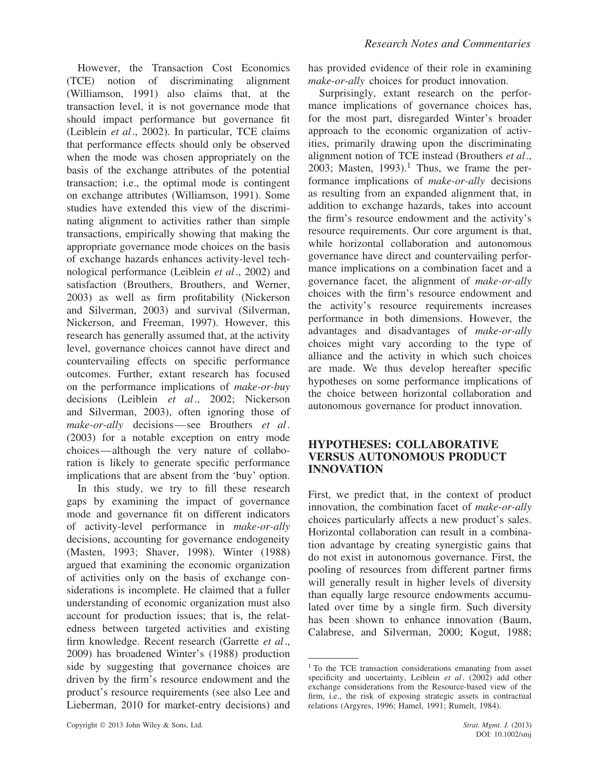However, the Transaction Cost Economics (TCE) notion of discriminating alignment (Williamson, 1991) also claims that, at the transaction level, it is not governance mode that should impact performance but governance fit (Leiblein *et al*., 2002). In particular, TCE claims that performance effects should only be observed when the mode was chosen appropriately on the basis of the exchange attributes of the potential transaction; i.e., the optimal mode is contingent on exchange attributes (Williamson, 1991). Some studies have extended this view of the discriminating alignment to activities rather than simple transactions, empirically showing that making the appropriate governance mode choices on the basis of exchange hazards enhances activity-level technological performance (Leiblein *et al*., 2002) and satisfaction (Brouthers, Brouthers, and Werner, 2003) as well as firm profitability (Nickerson and Silverman, 2003) and survival (Silverman, Nickerson, and Freeman, 1997). However, this research has generally assumed that, at the activity level, governance choices cannot have direct and countervailing effects on specific performance outcomes. Further, extant research has focused on the performance implications of *make-or-buy* decisions (Leiblein *et al*., 2002; Nickerson and Silverman, 2003), often ignoring those of *make-or-ally* decisions—see Brouthers *et al*. (2003) for a notable exception on entry mode choices—although the very nature of collaboration is likely to generate specific performance implications that are absent from the 'buy' option.

In this study, we try to fill these research gaps by examining the impact of governance mode and governance fit on different indicators of activity-level performance in *make-or-ally* decisions, accounting for governance endogeneity (Masten, 1993; Shaver, 1998). Winter (1988) argued that examining the economic organization of activities only on the basis of exchange considerations is incomplete. He claimed that a fuller understanding of economic organization must also account for production issues; that is, the relatedness between targeted activities and existing firm knowledge. Recent research (Garrette *et al*., 2009) has broadened Winter's (1988) production side by suggesting that governance choices are driven by the firm's resource endowment and the product's resource requirements (see also Lee and Lieberman, 2010 for market-entry decisions) and has provided evidence of their role in examining *make-or-ally* choices for product innovation.

Surprisingly, extant research on the performance implications of governance choices has, for the most part, disregarded Winter's broader approach to the economic organization of activities, primarily drawing upon the discriminating alignment notion of TCE instead (Brouthers *et al*., 2003; Masten,  $1993$ ).<sup>1</sup> Thus, we frame the performance implications of *make-or-ally* decisions as resulting from an expanded alignment that, in addition to exchange hazards, takes into account the firm's resource endowment and the activity's resource requirements. Our core argument is that, while horizontal collaboration and autonomous governance have direct and countervailing performance implications on a combination facet and a governance facet, the alignment of *make-or-ally* choices with the firm's resource endowment and the activity's resource requirements increases performance in both dimensions. However, the advantages and disadvantages of *make-or-ally* choices might vary according to the type of alliance and the activity in which such choices are made. We thus develop hereafter specific hypotheses on some performance implications of the choice between horizontal collaboration and autonomous governance for product innovation.

### **HYPOTHESES: COLLABORATIVE VERSUS AUTONOMOUS PRODUCT INNOVATION**

First, we predict that, in the context of product innovation, the combination facet of *make-or-ally* choices particularly affects a new product's sales. Horizontal collaboration can result in a combination advantage by creating synergistic gains that do not exist in autonomous governance. First, the pooling of resources from different partner firms will generally result in higher levels of diversity than equally large resource endowments accumulated over time by a single firm. Such diversity has been shown to enhance innovation (Baum, Calabrese, and Silverman, 2000; Kogut, 1988;

<sup>&</sup>lt;sup>1</sup> To the TCE transaction considerations emanating from asset specificity and uncertainty, Leiblein *et al*. (2002) add other exchange considerations from the Resource-based view of the firm, i.e., the risk of exposing strategic assets in contractual relations (Argyres, 1996; Hamel, 1991; Rumelt, 1984).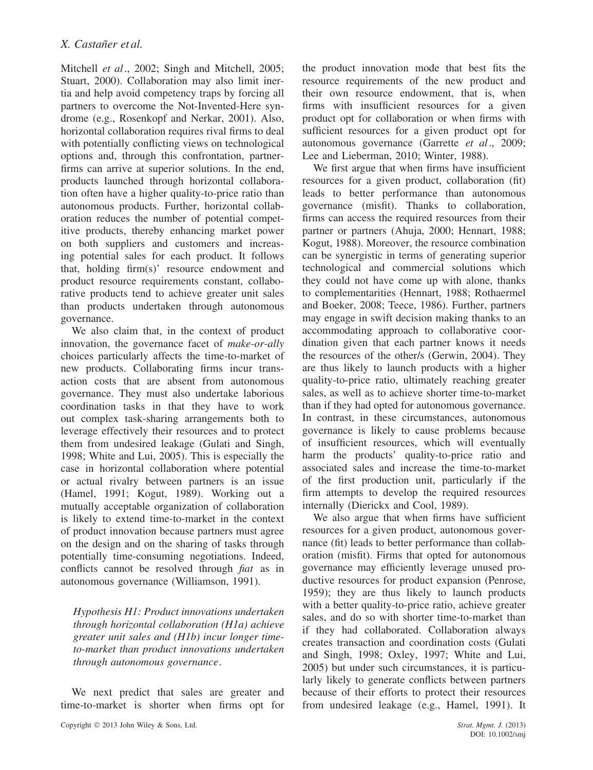Mitchell *et al*., 2002; Singh and Mitchell, 2005; Stuart, 2000). Collaboration may also limit inertia and help avoid competency traps by forcing all partners to overcome the Not-Invented-Here syndrome (e.g., Rosenkopf and Nerkar, 2001). Also, horizontal collaboration requires rival firms to deal with potentially conflicting views on technological options and, through this confrontation, partnerfirms can arrive at superior solutions. In the end, products launched through horizontal collaboration often have a higher quality-to-price ratio than autonomous products. Further, horizontal collaboration reduces the number of potential competitive products, thereby enhancing market power on both suppliers and customers and increasing potential sales for each product. It follows that, holding firm(s)' resource endowment and product resource requirements constant, collaborative products tend to achieve greater unit sales than products undertaken through autonomous governance.

We also claim that, in the context of product innovation, the governance facet of *make-or-ally* choices particularly affects the time-to-market of new products. Collaborating firms incur transaction costs that are absent from autonomous governance. They must also undertake laborious coordination tasks in that they have to work out complex task-sharing arrangements both to leverage effectively their resources and to protect them from undesired leakage (Gulati and Singh, 1998; White and Lui, 2005). This is especially the case in horizontal collaboration where potential or actual rivalry between partners is an issue (Hamel, 1991; Kogut, 1989). Working out a mutually acceptable organization of collaboration is likely to extend time-to-market in the context of product innovation because partners must agree on the design and on the sharing of tasks through potentially time-consuming negotiations. Indeed, conflicts cannot be resolved through *fiat* as in autonomous governance (Williamson, 1991).

*Hypothesis H1: Product innovations undertaken through horizontal collaboration (H1a) achieve greater unit sales and (H1b) incur longer timeto-market than product innovations undertaken through autonomous governance*.

We next predict that sales are greater and time-to-market is shorter when firms opt for the product innovation mode that best fits the resource requirements of the new product and their own resource endowment, that is, when firms with insufficient resources for a given product opt for collaboration or when firms with sufficient resources for a given product opt for autonomous governance (Garrette *et al*., 2009; Lee and Lieberman, 2010; Winter, 1988).

We first argue that when firms have insufficient resources for a given product, collaboration (fit) leads to better performance than autonomous governance (misfit). Thanks to collaboration, firms can access the required resources from their partner or partners (Ahuja, 2000; Hennart, 1988; Kogut, 1988). Moreover, the resource combination can be synergistic in terms of generating superior technological and commercial solutions which they could not have come up with alone, thanks to complementarities (Hennart, 1988; Rothaermel and Boeker, 2008; Teece, 1986). Further, partners may engage in swift decision making thanks to an accommodating approach to collaborative coordination given that each partner knows it needs the resources of the other/s (Gerwin, 2004). They are thus likely to launch products with a higher quality-to-price ratio, ultimately reaching greater sales, as well as to achieve shorter time-to-market than if they had opted for autonomous governance. In contrast, in these circumstances, autonomous governance is likely to cause problems because of insufficient resources, which will eventually harm the products' quality-to-price ratio and associated sales and increase the time-to-market of the first production unit, particularly if the firm attempts to develop the required resources internally (Dierickx and Cool, 1989).

We also argue that when firms have sufficient resources for a given product, autonomous governance (fit) leads to better performance than collaboration (misfit). Firms that opted for autonomous governance may efficiently leverage unused productive resources for product expansion (Penrose, 1959); they are thus likely to launch products with a better quality-to-price ratio, achieve greater sales, and do so with shorter time-to-market than if they had collaborated. Collaboration always creates transaction and coordination costs (Gulati and Singh, 1998; Oxley, 1997; White and Lui, 2005) but under such circumstances, it is particularly likely to generate conflicts between partners because of their efforts to protect their resources from undesired leakage (e.g., Hamel, 1991). It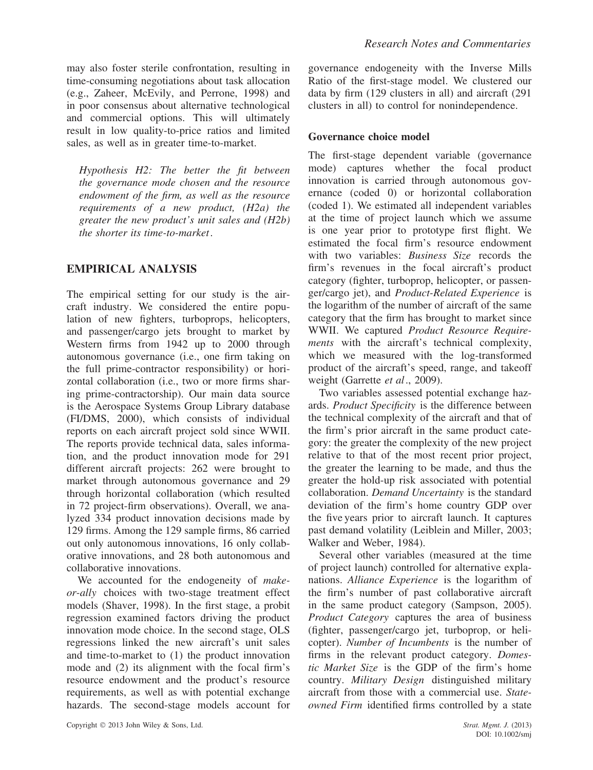may also foster sterile confrontation, resulting in time-consuming negotiations about task allocation (e.g., Zaheer, McEvily, and Perrone, 1998) and in poor consensus about alternative technological and commercial options. This will ultimately result in low quality-to-price ratios and limited sales, as well as in greater time-to-market.

*Hypothesis H2: The better the fit between the governance mode chosen and the resource endowment of the firm, as well as the resource requirements of a new product, (H2a) the greater the new product's unit sales and (H2b) the shorter its time-to-market*.

## **EMPIRICAL ANALYSIS**

The empirical setting for our study is the aircraft industry. We considered the entire population of new fighters, turboprops, helicopters, and passenger/cargo jets brought to market by Western firms from 1942 up to 2000 through autonomous governance (i.e., one firm taking on the full prime-contractor responsibility) or horizontal collaboration (i.e., two or more firms sharing prime-contractorship). Our main data source is the Aerospace Systems Group Library database (FI/DMS, 2000), which consists of individual reports on each aircraft project sold since WWII. The reports provide technical data, sales information, and the product innovation mode for 291 different aircraft projects: 262 were brought to market through autonomous governance and 29 through horizontal collaboration (which resulted in 72 project-firm observations). Overall, we analyzed 334 product innovation decisions made by 129 firms. Among the 129 sample firms, 86 carried out only autonomous innovations, 16 only collaborative innovations, and 28 both autonomous and collaborative innovations.

We accounted for the endogeneity of *makeor-ally* choices with two-stage treatment effect models (Shaver, 1998). In the first stage, a probit regression examined factors driving the product innovation mode choice. In the second stage, OLS regressions linked the new aircraft's unit sales and time-to-market to (1) the product innovation mode and (2) its alignment with the focal firm's resource endowment and the product's resource requirements, as well as with potential exchange hazards. The second-stage models account for governance endogeneity with the Inverse Mills Ratio of the first-stage model. We clustered our data by firm (129 clusters in all) and aircraft (291 clusters in all) to control for nonindependence.

### **Governance choice model**

The first-stage dependent variable (governance mode) captures whether the focal product innovation is carried through autonomous governance (coded 0) or horizontal collaboration (coded 1). We estimated all independent variables at the time of project launch which we assume is one year prior to prototype first flight. We estimated the focal firm's resource endowment with two variables: *Business Size* records the firm's revenues in the focal aircraft's product category (fighter, turboprop, helicopter, or passenger/cargo jet), and *Product-Related Experience* is the logarithm of the number of aircraft of the same category that the firm has brought to market since WWII. We captured *Product Resource Requirements* with the aircraft's technical complexity, which we measured with the log-transformed product of the aircraft's speed, range, and takeoff weight (Garrette *et al*., 2009).

Two variables assessed potential exchange hazards. *Product Specificity* is the difference between the technical complexity of the aircraft and that of the firm's prior aircraft in the same product category: the greater the complexity of the new project relative to that of the most recent prior project, the greater the learning to be made, and thus the greater the hold-up risk associated with potential collaboration. *Demand Uncertainty* is the standard deviation of the firm's home country GDP over the five years prior to aircraft launch. It captures past demand volatility (Leiblein and Miller, 2003; Walker and Weber, 1984).

Several other variables (measured at the time of project launch) controlled for alternative explanations. *Alliance Experience* is the logarithm of the firm's number of past collaborative aircraft in the same product category (Sampson, 2005). *Product Category* captures the area of business (fighter, passenger/cargo jet, turboprop, or helicopter). *Number of Incumbents* is the number of firms in the relevant product category. *Domestic Market Size* is the GDP of the firm's home country. *Military Design* distinguished military aircraft from those with a commercial use. *Stateowned Firm* identified firms controlled by a state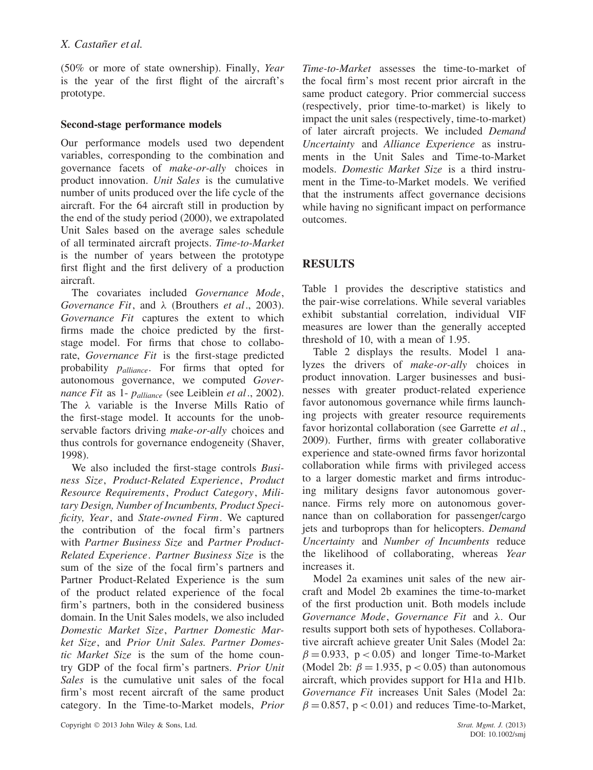(50% or more of state ownership). Finally, *Year* is the year of the first flight of the aircraft's prototype.

#### **Second-stage performance models**

Our performance models used two dependent variables, corresponding to the combination and governance facets of *make-or-ally* choices in product innovation. *Unit Sales* is the cumulative number of units produced over the life cycle of the aircraft. For the 64 aircraft still in production by the end of the study period (2000), we extrapolated Unit Sales based on the average sales schedule of all terminated aircraft projects. *Time-to-Market* is the number of years between the prototype first flight and the first delivery of a production aircraft.

The covariates included *Governance Mode*, *Governance Fit*, and *λ* (Brouthers *et al*., 2003). *Governance Fit* captures the extent to which firms made the choice predicted by the firststage model. For firms that chose to collaborate, *Governance Fit* is the first-stage predicted probability *palliance*. For firms that opted for autonomous governance, we computed *Governance Fit* as 1- *palliance* (see Leiblein *et al*., 2002). The *λ* variable is the Inverse Mills Ratio of the first-stage model. It accounts for the unobservable factors driving *make-or-ally* choices and thus controls for governance endogeneity (Shaver, 1998).

We also included the first-stage controls *Business Size*, *Product-Related Experience*, *Product Resource Requirements*, *Product Category*, *Military Design, Number of Incumbents, Product Specificity, Year*, and *State-owned Firm*. We captured the contribution of the focal firm's partners with *Partner Business Size* and *Partner Product-Related Experience*. *Partner Business Size* is the sum of the size of the focal firm's partners and Partner Product-Related Experience is the sum of the product related experience of the focal firm's partners, both in the considered business domain. In the Unit Sales models, we also included *Domestic Market Size*, *Partner Domestic Market Size*, and *Prior Unit Sales. Partner Domestic Market Size* is the sum of the home country GDP of the focal firm's partners. *Prior Unit Sales* is the cumulative unit sales of the focal firm's most recent aircraft of the same product category. In the Time-to-Market models, *Prior*

*Time-to-Market* assesses the time-to-market of the focal firm's most recent prior aircraft in the same product category. Prior commercial success (respectively, prior time-to-market) is likely to impact the unit sales (respectively, time-to-market) of later aircraft projects. We included *Demand Uncertainty* and *Alliance Experience* as instruments in the Unit Sales and Time-to-Market models. *Domestic Market Size* is a third instrument in the Time-to-Market models. We verified that the instruments affect governance decisions while having no significant impact on performance outcomes.

# **RESULTS**

Table 1 provides the descriptive statistics and the pair-wise correlations. While several variables exhibit substantial correlation, individual VIF measures are lower than the generally accepted threshold of 10, with a mean of 1.95.

Table 2 displays the results. Model 1 analyzes the drivers of *make-or-ally* choices in product innovation. Larger businesses and businesses with greater product-related experience favor autonomous governance while firms launching projects with greater resource requirements favor horizontal collaboration (see Garrette *et al*., 2009). Further, firms with greater collaborative experience and state-owned firms favor horizontal collaboration while firms with privileged access to a larger domestic market and firms introducing military designs favor autonomous governance. Firms rely more on autonomous governance than on collaboration for passenger/cargo jets and turboprops than for helicopters. *Demand Uncertainty* and *Number of Incumbents* reduce the likelihood of collaborating, whereas *Year* increases it.

Model 2a examines unit sales of the new aircraft and Model 2b examines the time-to-market of the first production unit. Both models include *Governance Mode*, *Governance Fit* and *λ*. Our results support both sets of hypotheses. Collaborative aircraft achieve greater Unit Sales (Model 2a:  $\beta = 0.933$ ,  $p < 0.05$ ) and longer Time-to-Market (Model 2b:  $\beta = 1.935$ ,  $p < 0.05$ ) than autonomous aircraft, which provides support for H1a and H1b. *Governance Fit* increases Unit Sales (Model 2a:  $\beta = 0.857$ ,  $p < 0.01$ ) and reduces Time-to-Market,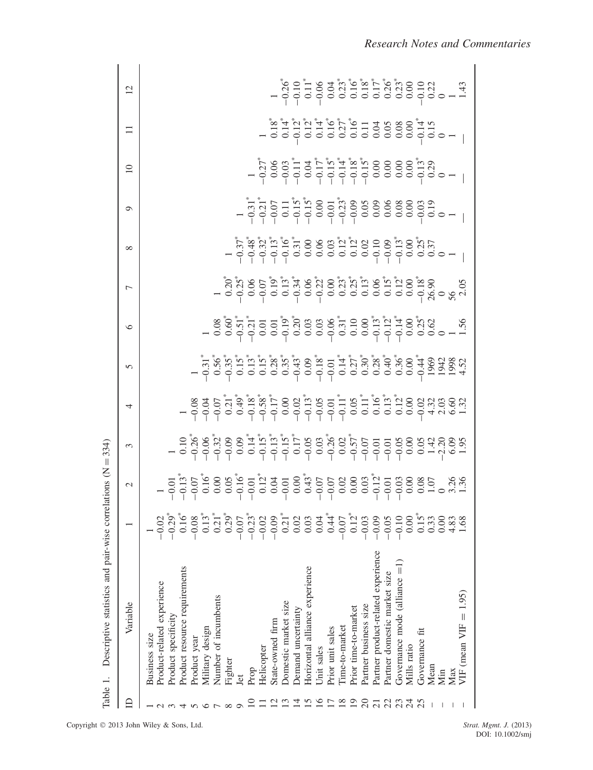|               | Descriptive statistics and pair-wise<br>Table 1.                          |   | correlations $(N = 334)$ |   |   |                                                                                                                                                                                                                                                                                                                      |                                                                                                                                                                                                                                                                                                                                                                                                                                               |                                                    |                                                |         |                 |                |  |
|---------------|---------------------------------------------------------------------------|---|--------------------------|---|---|----------------------------------------------------------------------------------------------------------------------------------------------------------------------------------------------------------------------------------------------------------------------------------------------------------------------|-----------------------------------------------------------------------------------------------------------------------------------------------------------------------------------------------------------------------------------------------------------------------------------------------------------------------------------------------------------------------------------------------------------------------------------------------|----------------------------------------------------|------------------------------------------------|---------|-----------------|----------------|--|
| ⊟             | Variable                                                                  |   | $\mathcal{L}$            | 3 | 4 | 5                                                                                                                                                                                                                                                                                                                    | $\circ$                                                                                                                                                                                                                                                                                                                                                                                                                                       | 7                                                  | $\infty$                                       | $\circ$ | $\overline{10}$ | $\overline{2}$ |  |
|               | Product-related experience<br>Product specificity<br><b>Business</b> size |   |                          |   |   |                                                                                                                                                                                                                                                                                                                      |                                                                                                                                                                                                                                                                                                                                                                                                                                               |                                                    |                                                |         |                 |                |  |
|               | Product resource requirements<br>Product year                             |   |                          |   |   |                                                                                                                                                                                                                                                                                                                      |                                                                                                                                                                                                                                                                                                                                                                                                                                               |                                                    |                                                |         |                 |                |  |
|               | Military design                                                           |   |                          |   |   |                                                                                                                                                                                                                                                                                                                      |                                                                                                                                                                                                                                                                                                                                                                                                                                               |                                                    |                                                |         |                 |                |  |
|               | Number of incumbents                                                      |   |                          |   |   |                                                                                                                                                                                                                                                                                                                      |                                                                                                                                                                                                                                                                                                                                                                                                                                               |                                                    |                                                |         |                 |                |  |
| $\infty$      | Fighter                                                                   |   |                          |   |   |                                                                                                                                                                                                                                                                                                                      |                                                                                                                                                                                                                                                                                                                                                                                                                                               |                                                    |                                                |         |                 |                |  |
|               | Jet                                                                       |   |                          |   |   |                                                                                                                                                                                                                                                                                                                      |                                                                                                                                                                                                                                                                                                                                                                                                                                               |                                                    |                                                |         |                 |                |  |
|               | Prop                                                                      |   |                          |   |   |                                                                                                                                                                                                                                                                                                                      |                                                                                                                                                                                                                                                                                                                                                                                                                                               |                                                    |                                                |         |                 |                |  |
|               | Helicopter                                                                | ī |                          |   |   |                                                                                                                                                                                                                                                                                                                      |                                                                                                                                                                                                                                                                                                                                                                                                                                               |                                                    |                                                |         |                 |                |  |
|               | State-owned firm                                                          |   |                          |   |   |                                                                                                                                                                                                                                                                                                                      |                                                                                                                                                                                                                                                                                                                                                                                                                                               |                                                    |                                                |         |                 |                |  |
|               | Domestic market size                                                      |   |                          |   |   |                                                                                                                                                                                                                                                                                                                      |                                                                                                                                                                                                                                                                                                                                                                                                                                               |                                                    |                                                |         |                 |                |  |
|               | Demand uncertainty                                                        |   |                          |   |   |                                                                                                                                                                                                                                                                                                                      |                                                                                                                                                                                                                                                                                                                                                                                                                                               |                                                    |                                                |         |                 |                |  |
|               | Horizontal alliance experience                                            |   |                          |   |   |                                                                                                                                                                                                                                                                                                                      |                                                                                                                                                                                                                                                                                                                                                                                                                                               |                                                    |                                                |         |                 |                |  |
|               | Unit sales                                                                |   |                          |   |   |                                                                                                                                                                                                                                                                                                                      |                                                                                                                                                                                                                                                                                                                                                                                                                                               |                                                    |                                                |         |                 |                |  |
|               | Prior unit sales                                                          |   |                          |   |   |                                                                                                                                                                                                                                                                                                                      |                                                                                                                                                                                                                                                                                                                                                                                                                                               |                                                    |                                                |         |                 |                |  |
|               | Time-to-market                                                            |   |                          |   |   |                                                                                                                                                                                                                                                                                                                      |                                                                                                                                                                                                                                                                                                                                                                                                                                               |                                                    |                                                |         |                 |                |  |
|               | Prior time-to-market                                                      |   |                          |   |   |                                                                                                                                                                                                                                                                                                                      |                                                                                                                                                                                                                                                                                                                                                                                                                                               |                                                    |                                                |         |                 |                |  |
|               | Partner business size                                                     |   |                          |   |   |                                                                                                                                                                                                                                                                                                                      |                                                                                                                                                                                                                                                                                                                                                                                                                                               |                                                    |                                                |         |                 |                |  |
|               | Partner product-related experience                                        |   |                          |   |   |                                                                                                                                                                                                                                                                                                                      |                                                                                                                                                                                                                                                                                                                                                                                                                                               |                                                    |                                                |         |                 |                |  |
|               | Partner domestic market size                                              |   |                          |   |   |                                                                                                                                                                                                                                                                                                                      |                                                                                                                                                                                                                                                                                                                                                                                                                                               |                                                    |                                                |         |                 |                |  |
|               | Governance mode $\text{(alliance = 1)}$                                   |   |                          |   |   |                                                                                                                                                                                                                                                                                                                      |                                                                                                                                                                                                                                                                                                                                                                                                                                               |                                                    |                                                |         |                 |                |  |
| $\mathcal{L}$ | Mills ratio                                                               |   |                          |   |   |                                                                                                                                                                                                                                                                                                                      |                                                                                                                                                                                                                                                                                                                                                                                                                                               |                                                    |                                                |         |                 |                |  |
| 25            | Governance fit                                                            |   |                          |   |   |                                                                                                                                                                                                                                                                                                                      |                                                                                                                                                                                                                                                                                                                                                                                                                                               |                                                    |                                                |         |                 |                |  |
|               | Mean                                                                      |   |                          |   |   |                                                                                                                                                                                                                                                                                                                      |                                                                                                                                                                                                                                                                                                                                                                                                                                               |                                                    |                                                |         |                 |                |  |
|               | Max<br>Мin                                                                |   |                          |   |   |                                                                                                                                                                                                                                                                                                                      |                                                                                                                                                                                                                                                                                                                                                                                                                                               |                                                    | ؖ؊ؖ۫ڿۛؿ۫ۄ۫ؿۄؿۄػۄۊۿڋؽؿۄۄڿۄٞ<br>ٵ؋؋؋؋؋ٷٷٷٷٷٷ؋؋؋؋ |         |                 |                |  |
|               | VIF (mean $VIF = 1.95$ )                                                  |   |                          |   |   | $-\frac{1}{2}$ $\frac{1}{2}$ $\frac{1}{6}$ $\frac{1}{6}$ $\frac{1}{6}$ $\frac{1}{3}$ $\frac{1}{6}$ $\frac{1}{3}$ $\frac{1}{6}$ $\frac{1}{3}$ $\frac{1}{3}$ $\frac{1}{3}$ $\frac{1}{6}$ $\frac{1}{3}$ $\frac{1}{6}$ $\frac{1}{6}$ $\frac{1}{6}$ $\frac{1}{6}$ $\frac{1}{6}$ $\frac{1}{6}$ $\frac{1}{6}$ $\frac{1}{6}$ | $\begin{array}{r} 8\overset{*}{\circ}5\overset{*}{\circ}7\overset{*}{\circ}7\overset{*}{\circ}7\overset{*}{\circ}7\overset{*}{\circ}7\overset{*}{\circ}7\overset{*}{\circ}7\overset{*}{\circ}7\overset{*}{\circ}7\overset{*}{\circ}7\overset{*}{\circ}7\overset{*}{\circ}7\overset{*}{\circ}7\overset{*}{\circ}7\overset{*}{\circ}7\overset{*}{\circ}7\overset{*}{\circ}7\overset{*}{\circ}7\overset{*}{\circ}7\overset{*}{\circ}7\overset{*$ | ڽ؆ٙؿۄ؆؋؆ڠ؆ؖؿۄڋۄ؆؋؆ؿۄڋۄ<br>ٵ؋؋؋؋؋؋؋؋؋؋؋؋؋؋؋؋؋؋؋؋؋؋؋ |                                                |         |                 |                |  |
|               |                                                                           |   |                          |   |   |                                                                                                                                                                                                                                                                                                                      |                                                                                                                                                                                                                                                                                                                                                                                                                                               |                                                    |                                                |         |                 |                |  |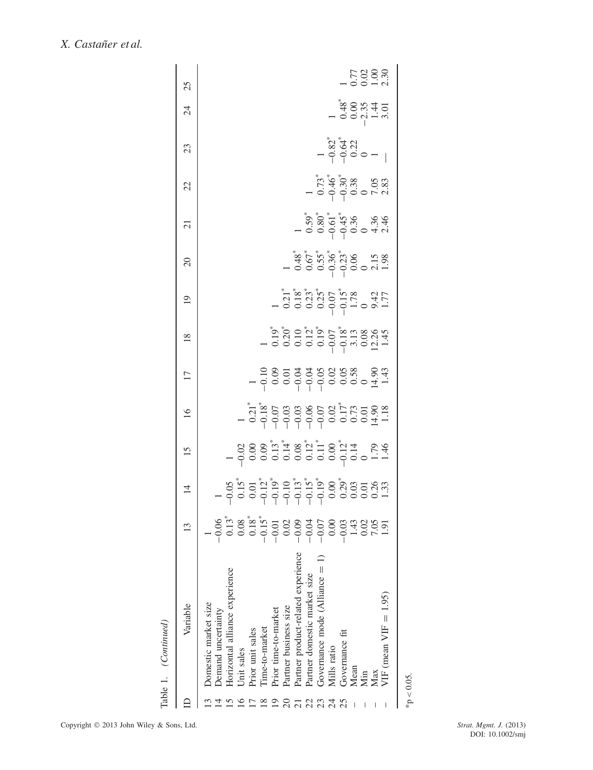| ֧֓֜֡   |
|--------|
|        |
| ú<br>٠ |
|        |

| Table 1. (Continued)               |                                                                                                                                                                                                                                                                                                                                                                                                                                                                                                                   |                |    |                                                                                                                                                                                                                                                                                                                                                                                                               |                                                       |                                                                                                                          |                 |          |                |                                                                                               |                                                                   |                                                                               |                             |
|------------------------------------|-------------------------------------------------------------------------------------------------------------------------------------------------------------------------------------------------------------------------------------------------------------------------------------------------------------------------------------------------------------------------------------------------------------------------------------------------------------------------------------------------------------------|----------------|----|---------------------------------------------------------------------------------------------------------------------------------------------------------------------------------------------------------------------------------------------------------------------------------------------------------------------------------------------------------------------------------------------------------------|-------------------------------------------------------|--------------------------------------------------------------------------------------------------------------------------|-----------------|----------|----------------|-----------------------------------------------------------------------------------------------|-------------------------------------------------------------------|-------------------------------------------------------------------------------|-----------------------------|
| Variable                           | S                                                                                                                                                                                                                                                                                                                                                                                                                                                                                                                 | $\overline{4}$ | 15 | 16                                                                                                                                                                                                                                                                                                                                                                                                            | $\overline{17}$                                       | $\frac{8}{2}$                                                                                                            | $\overline{19}$ | $\Omega$ | $\overline{c}$ | 22                                                                                            | 23                                                                | 24                                                                            | 25                          |
| Domestic market size               |                                                                                                                                                                                                                                                                                                                                                                                                                                                                                                                   |                |    |                                                                                                                                                                                                                                                                                                                                                                                                               |                                                       |                                                                                                                          |                 |          |                |                                                                                               |                                                                   |                                                                               |                             |
| Demand uncertainty                 |                                                                                                                                                                                                                                                                                                                                                                                                                                                                                                                   |                |    |                                                                                                                                                                                                                                                                                                                                                                                                               |                                                       |                                                                                                                          |                 |          |                |                                                                                               |                                                                   |                                                                               |                             |
| Horizontal alliance experience     |                                                                                                                                                                                                                                                                                                                                                                                                                                                                                                                   |                |    |                                                                                                                                                                                                                                                                                                                                                                                                               |                                                       |                                                                                                                          |                 |          |                |                                                                                               |                                                                   |                                                                               |                             |
| Unit sales                         |                                                                                                                                                                                                                                                                                                                                                                                                                                                                                                                   |                |    |                                                                                                                                                                                                                                                                                                                                                                                                               |                                                       |                                                                                                                          |                 |          |                |                                                                                               |                                                                   |                                                                               |                             |
| Prior unit sales                   |                                                                                                                                                                                                                                                                                                                                                                                                                                                                                                                   |                |    |                                                                                                                                                                                                                                                                                                                                                                                                               |                                                       |                                                                                                                          |                 |          |                |                                                                                               |                                                                   |                                                                               |                             |
| Time-to-market                     |                                                                                                                                                                                                                                                                                                                                                                                                                                                                                                                   |                |    |                                                                                                                                                                                                                                                                                                                                                                                                               |                                                       |                                                                                                                          |                 |          |                |                                                                                               |                                                                   |                                                                               |                             |
| Prior time-to-market               |                                                                                                                                                                                                                                                                                                                                                                                                                                                                                                                   |                |    |                                                                                                                                                                                                                                                                                                                                                                                                               |                                                       |                                                                                                                          |                 |          |                |                                                                                               |                                                                   |                                                                               |                             |
| Partner business size              | $\begin{array}{l} \circledast \stackrel{a}{\circ} \stackrel{a}{\circ} \stackrel{a}{\circ} \stackrel{a}{\circ} \stackrel{a}{\circ} \stackrel{a}{\circ} \stackrel{a}{\circ} \stackrel{a}{\circ} \stackrel{a}{\circ} \stackrel{a}{\circ} \stackrel{a}{\circ} \stackrel{a}{\circ} \stackrel{a}{\circ} \stackrel{a}{\circ} \stackrel{a}{\circ} \stackrel{a}{\circ} \stackrel{a}{\circ} \stackrel{a}{\circ} \stackrel{a}{\circ} \stackrel{a}{\circ} \stackrel{a}{\circ} \stackrel{a}{\circ} \stackrel{a}{\circ} \stack$ |                |    | $\begin{array}{cccccccccc} - & \frac{1}{2} & \frac{1}{2} & \frac{1}{2} & \frac{1}{2} & \frac{1}{2} & \frac{1}{2} & \frac{1}{2} & \frac{1}{2} & \frac{1}{2} & \frac{1}{2} & \frac{1}{2} & \frac{1}{2} & \frac{1}{2} & \frac{1}{2} & \frac{1}{2} & \frac{1}{2} & \frac{1}{2} & \frac{1}{2} & \frac{1}{2} & \frac{1}{2} & \frac{1}{2} & \frac{1}{2} & \frac{1}{2} & \frac{1}{2} & \frac{1}{2} & \frac{1}{2} & \$ | = 28 5 3 5 6 6 6 6 7 7 7<br>- 0 0 0 0 0 0 0 0 0 0 1 - | - 1<br>- 10:00 10:00 10:00 10:00<br>- 10:00 10:00 10:00 10:00 11:00<br>- 10:00 10:00 10:00 11:00 11:00 11:00 11:00 11:00 |                 |          |                |                                                                                               |                                                                   |                                                                               |                             |
| Partner product-related experience |                                                                                                                                                                                                                                                                                                                                                                                                                                                                                                                   |                |    |                                                                                                                                                                                                                                                                                                                                                                                                               |                                                       |                                                                                                                          |                 |          |                |                                                                                               |                                                                   |                                                                               |                             |
| Partner domestic market size       |                                                                                                                                                                                                                                                                                                                                                                                                                                                                                                                   |                |    |                                                                                                                                                                                                                                                                                                                                                                                                               |                                                       |                                                                                                                          |                 |          |                |                                                                                               |                                                                   |                                                                               |                             |
| Governance mode (Alliance $= 1$    |                                                                                                                                                                                                                                                                                                                                                                                                                                                                                                                   |                |    |                                                                                                                                                                                                                                                                                                                                                                                                               |                                                       |                                                                                                                          |                 |          |                | $\begin{array}{c}\n1 \\ 0.73^* \\ 0.46^* \\ -0.30^* \\ 0.38 \\ -0.30^* \\ -0.38\n\end{array}$ |                                                                   |                                                                               |                             |
| Mills ratio                        |                                                                                                                                                                                                                                                                                                                                                                                                                                                                                                                   |                |    |                                                                                                                                                                                                                                                                                                                                                                                                               |                                                       |                                                                                                                          |                 |          |                |                                                                                               | $ \frac{32}{364}$<br>$ \frac{64}{9}$<br>$ \frac{64}{9}$<br>$   -$ |                                                                               |                             |
| Governance fit                     |                                                                                                                                                                                                                                                                                                                                                                                                                                                                                                                   |                |    |                                                                                                                                                                                                                                                                                                                                                                                                               |                                                       |                                                                                                                          |                 |          |                |                                                                                               |                                                                   | $1, 48$<br>$0, 0, 0, 4, 5$<br>$0, 0, 0, 4, 5$<br>$0, 0, 4, 5$<br>$0, 0, 4, 5$ |                             |
| Mean                               |                                                                                                                                                                                                                                                                                                                                                                                                                                                                                                                   |                |    |                                                                                                                                                                                                                                                                                                                                                                                                               |                                                       |                                                                                                                          |                 |          |                |                                                                                               |                                                                   |                                                                               |                             |
| Min                                |                                                                                                                                                                                                                                                                                                                                                                                                                                                                                                                   |                |    |                                                                                                                                                                                                                                                                                                                                                                                                               |                                                       |                                                                                                                          |                 |          |                |                                                                                               |                                                                   |                                                                               | 7703.30<br>10013.30<br>1011 |
| Max                                |                                                                                                                                                                                                                                                                                                                                                                                                                                                                                                                   |                |    |                                                                                                                                                                                                                                                                                                                                                                                                               |                                                       |                                                                                                                          |                 |          |                |                                                                                               |                                                                   |                                                                               |                             |
| VIF (mean $VIF = 1.95$ )           |                                                                                                                                                                                                                                                                                                                                                                                                                                                                                                                   |                |    |                                                                                                                                                                                                                                                                                                                                                                                                               |                                                       |                                                                                                                          |                 |          |                |                                                                                               |                                                                   |                                                                               |                             |
| * $p < 0.05$ .                     |                                                                                                                                                                                                                                                                                                                                                                                                                                                                                                                   |                |    |                                                                                                                                                                                                                                                                                                                                                                                                               |                                                       |                                                                                                                          |                 |          |                |                                                                                               |                                                                   |                                                                               |                             |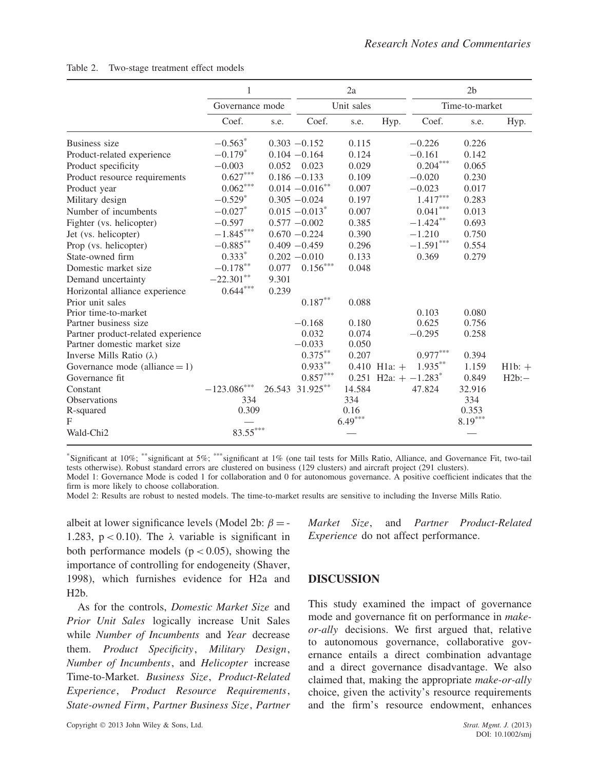|                                    | 1                               |       |                              | 2a         |                  |                                    | 2 <sub>b</sub> |          |
|------------------------------------|---------------------------------|-------|------------------------------|------------|------------------|------------------------------------|----------------|----------|
|                                    | Governance mode                 |       |                              | Unit sales |                  |                                    | Time-to-market |          |
|                                    | Coef.                           | s.e.  | Coef.                        | s.e.       | Hyp.             | Coef.                              | s.e.           | Hyp.     |
| Business size                      | $-0.563*$                       |       | $0.303 - 0.152$              | 0.115      |                  | $-0.226$                           | 0.226          |          |
| Product-related experience         | $-0.179*$                       |       | $0.104 - 0.164$              | 0.124      |                  | $-0.161$                           | 0.142          |          |
| Product specificity                | $-0.003$                        | 0.052 | 0.023                        | 0.029      |                  | $0.204^{***}$                      | 0.065          |          |
| Product resource requirements      | $0.627***$                      |       | $0.186 - 0.133$              | 0.109      |                  | $-0.020$                           | 0.230          |          |
| Product year                       | $0.062^{\ast\ast\ast}$          |       | $0.014 - 0.016$ **           | 0.007      |                  | $-0.023$                           | 0.017          |          |
| Military design                    | $-0.529*$                       |       | $0.305 - 0.024$              | 0.197      |                  | $1.417^{\ast\ast\ast}$             | 0.283          |          |
| Number of incumbents               | $-0.027$ *                      |       | $0.015 - 0.013$ <sup>*</sup> | 0.007      |                  | $0.041^{***}$                      | 0.013          |          |
| Fighter (vs. helicopter)           | $-0.597$                        |       | $0.577 - 0.002$              | 0.385      |                  | $-1.424**$                         | 0.693          |          |
| Jet (vs. helicopter)               | $-1.845***$                     |       | $0.670 - 0.224$              | 0.390      |                  | $-1.210$                           | 0.750          |          |
| Prop (vs. helicopter)              | $-0.885***$                     |       | $0.409 - 0.459$              | 0.296      |                  | $-1.591***$                        | 0.554          |          |
| State-owned firm                   | $0.333*$                        |       | $0.202 - 0.010$              | 0.133      |                  | 0.369                              | 0.279          |          |
| Domestic market size               | $-0.178***$                     | 0.077 | $0.156^{\ast\ast\ast}$       | 0.048      |                  |                                    |                |          |
| Demand uncertainty                 | $-22.301**$                     | 9.301 |                              |            |                  |                                    |                |          |
| Horizontal alliance experience     | $0.644^{\ast\ast\ast}$          | 0.239 |                              |            |                  |                                    |                |          |
| Prior unit sales                   |                                 |       | $0.187^{\ast\ast}$           | 0.088      |                  |                                    |                |          |
| Prior time-to-market               |                                 |       |                              |            |                  | 0.103                              | 0.080          |          |
| Partner business size              |                                 |       | $-0.168$                     | 0.180      |                  | 0.625                              | 0.756          |          |
| Partner product-related experience |                                 |       | 0.032                        | 0.074      |                  | $-0.295$                           | 0.258          |          |
| Partner domestic market size       |                                 |       | $-0.033$                     | 0.050      |                  |                                    |                |          |
| Inverse Mills Ratio $(\lambda)$    |                                 |       | $0.375***$                   | 0.207      |                  | $0.977***$                         | 0.394          |          |
| Governance mode (alliance $= 1$ )  |                                 |       | $0.933**$                    |            | $0.410$ H1a: $+$ | $1.935***$                         | 1.159          | $H1b: +$ |
| Governance fit                     |                                 |       | $0.857^{***}$                |            |                  | 0.251 H2a: $+ -1.283$ <sup>*</sup> | 0.849          | H2b:     |
| Constant                           | $-123.086***$                   |       | 26.543 31.925**              | 14.584     |                  | 47.824                             | 32.916         |          |
| <b>Observations</b>                | 334                             |       |                              | 334        |                  |                                    | 334            |          |
| R-squared                          | 0.309                           |       |                              | 0.16       |                  |                                    | 0.353          |          |
| F                                  |                                 |       |                              | $6.49***$  |                  |                                    | $8.19***$      |          |
| Wald-Chi <sub>2</sub>              | $\textbf{83.55}^{\ast\ast\ast}$ |       |                              |            |                  |                                    |                |          |

| Table 2. | Two-stage treatment effect models |  |  |  |
|----------|-----------------------------------|--|--|--|
|----------|-----------------------------------|--|--|--|

\*Significant at 10%; \*\*significant at 5%; \*\*\*significant at 1% (one tail tests for Mills Ratio, Alliance, and Governance Fit, two-tail tests otherwise). Robust standard errors are clustered on business (129 clusters) and aircraft project (291 clusters). Model 1: Governance Mode is coded 1 for collaboration and 0 for autonomous governance. A positive coefficient indicates that the

firm is more likely to choose collaboration.

Model 2: Results are robust to nested models. The time-to-market results are sensitive to including the Inverse Mills Ratio.

albeit at lower significance levels (Model 2b:  $\beta$  = -1.283,  $p < 0.10$ ). The  $\lambda$  variable is significant in both performance models  $(p < 0.05)$ , showing the importance of controlling for endogeneity (Shaver, 1998), which furnishes evidence for H2a and  $H2h$ .

As for the controls, *Domestic Market Size* and *Prior Unit Sales* logically increase Unit Sales while *Number of Incumbents* and *Year* decrease them. *Product Specificity*, *Military Design*, *Number of Incumbents*, and *Helicopter* increase Time-to-Market. *Business Size*, *Product-Related Experience*, *Product Resource Requirements*, *State-owned Firm*, *Partner Business Size*, *Partner*

Copyright 2013 John Wiley & Sons, Ltd. *Strat. Mgmt. J.* (2013)

*Market Size*, and *Partner Product-Related Experience* do not affect performance.

#### **DISCUSSION**

This study examined the impact of governance mode and governance fit on performance in *makeor-ally* decisions. We first argued that, relative to autonomous governance, collaborative governance entails a direct combination advantage and a direct governance disadvantage. We also claimed that, making the appropriate *make-or-ally* choice, given the activity's resource requirements and the firm's resource endowment, enhances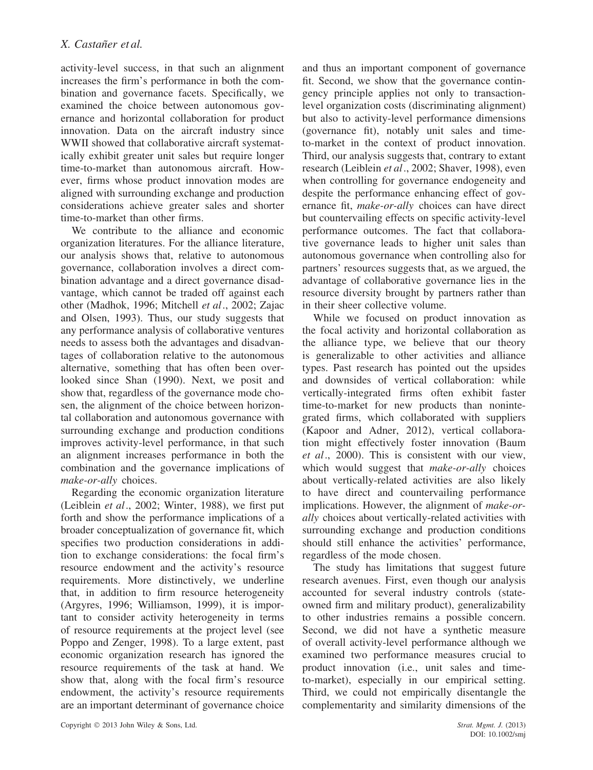activity-level success, in that such an alignment increases the firm's performance in both the combination and governance facets. Specifically, we examined the choice between autonomous governance and horizontal collaboration for product innovation. Data on the aircraft industry since WWII showed that collaborative aircraft systematically exhibit greater unit sales but require longer time-to-market than autonomous aircraft. However, firms whose product innovation modes are aligned with surrounding exchange and production considerations achieve greater sales and shorter time-to-market than other firms.

We contribute to the alliance and economic organization literatures. For the alliance literature, our analysis shows that, relative to autonomous governance, collaboration involves a direct combination advantage and a direct governance disadvantage, which cannot be traded off against each other (Madhok, 1996; Mitchell *et al*., 2002; Zajac and Olsen, 1993). Thus, our study suggests that any performance analysis of collaborative ventures needs to assess both the advantages and disadvantages of collaboration relative to the autonomous alternative, something that has often been overlooked since Shan (1990). Next, we posit and show that, regardless of the governance mode chosen, the alignment of the choice between horizontal collaboration and autonomous governance with surrounding exchange and production conditions improves activity-level performance, in that such an alignment increases performance in both the combination and the governance implications of *make-or-ally* choices.

Regarding the economic organization literature (Leiblein *et al*., 2002; Winter, 1988), we first put forth and show the performance implications of a broader conceptualization of governance fit, which specifies two production considerations in addition to exchange considerations: the focal firm's resource endowment and the activity's resource requirements. More distinctively, we underline that, in addition to firm resource heterogeneity (Argyres, 1996; Williamson, 1999), it is important to consider activity heterogeneity in terms of resource requirements at the project level (see Poppo and Zenger, 1998). To a large extent, past economic organization research has ignored the resource requirements of the task at hand. We show that, along with the focal firm's resource endowment, the activity's resource requirements are an important determinant of governance choice and thus an important component of governance fit. Second, we show that the governance contingency principle applies not only to transactionlevel organization costs (discriminating alignment) but also to activity-level performance dimensions (governance fit), notably unit sales and timeto-market in the context of product innovation. Third, our analysis suggests that, contrary to extant research (Leiblein *et al*., 2002; Shaver, 1998), even when controlling for governance endogeneity and despite the performance enhancing effect of governance fit, *make-or-ally* choices can have direct but countervailing effects on specific activity-level performance outcomes. The fact that collaborative governance leads to higher unit sales than autonomous governance when controlling also for partners' resources suggests that, as we argued, the advantage of collaborative governance lies in the resource diversity brought by partners rather than in their sheer collective volume.

While we focused on product innovation as the focal activity and horizontal collaboration as the alliance type, we believe that our theory is generalizable to other activities and alliance types. Past research has pointed out the upsides and downsides of vertical collaboration: while vertically-integrated firms often exhibit faster time-to-market for new products than nonintegrated firms, which collaborated with suppliers (Kapoor and Adner, 2012), vertical collaboration might effectively foster innovation (Baum *et al*., 2000). This is consistent with our view, which would suggest that *make-or-ally* choices about vertically-related activities are also likely to have direct and countervailing performance implications. However, the alignment of *make-orally* choices about vertically-related activities with surrounding exchange and production conditions should still enhance the activities' performance, regardless of the mode chosen.

The study has limitations that suggest future research avenues. First, even though our analysis accounted for several industry controls (stateowned firm and military product), generalizability to other industries remains a possible concern. Second, we did not have a synthetic measure of overall activity-level performance although we examined two performance measures crucial to product innovation (i.e., unit sales and timeto-market), especially in our empirical setting. Third, we could not empirically disentangle the complementarity and similarity dimensions of the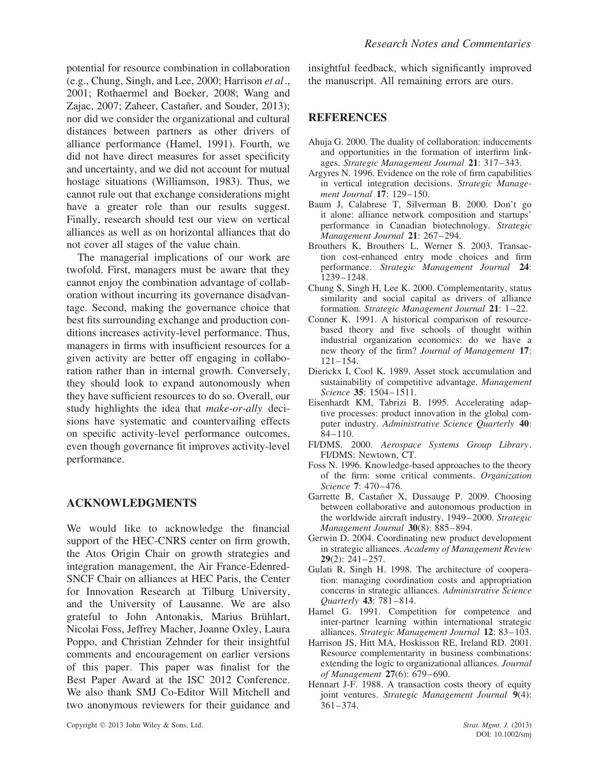potential for resource combination in collaboration (e.g., Chung, Singh, and Lee, 2000; Harrison *et al*., 2001; Rothaermel and Boeker, 2008; Wang and Zajac, 2007; Zaheer, Castañer, and Souder, 2013); nor did we consider the organizational and cultural distances between partners as other drivers of alliance performance (Hamel, 1991). Fourth, we did not have direct measures for asset specificity and uncertainty, and we did not account for mutual hostage situations (Williamson, 1983). Thus, we cannot rule out that exchange considerations might have a greater role than our results suggest. Finally, research should test our view on vertical alliances as well as on horizontal alliances that do not cover all stages of the value chain.

The managerial implications of our work are twofold. First, managers must be aware that they cannot enjoy the combination advantage of collaboration without incurring its governance disadvantage. Second, making the governance choice that best fits surrounding exchange and production conditions increases activity-level performance. Thus, managers in firms with insufficient resources for a given activity are better off engaging in collaboration rather than in internal growth. Conversely, they should look to expand autonomously when they have sufficient resources to do so. Overall, our study highlights the idea that *make-or-ally* decisions have systematic and countervailing effects on specific activity-level performance outcomes, even though governance fit improves activity-level performance.

#### **ACKNOWLEDGMENTS**

We would like to acknowledge the financial support of the HEC-CNRS center on firm growth, the Atos Origin Chair on growth strategies and integration management, the Air France-Edenred-SNCF Chair on alliances at HEC Paris, the Center for Innovation Research at Tilburg University, and the University of Lausanne. We are also grateful to John Antonakis, Marius Brühlart, Nicolai Foss, Jeffrey Macher, Joanne Oxley, Laura Poppo, and Christian Zehnder for their insightful comments and encouragement on earlier versions of this paper. This paper was finalist for the Best Paper Award at the ISC 2012 Conference. We also thank SMJ Co-Editor Will Mitchell and two anonymous reviewers for their guidance and insightful feedback, which significantly improved the manuscript. All remaining errors are ours.

#### **REFERENCES**

- Ahuja G. 2000. The duality of collaboration: inducements and opportunities in the formation of interfirm linkages. *Strategic Management Journal* **21**: 317–343.
- Argyres N. 1996. Evidence on the role of firm capabilities in vertical integration decisions. *Strategic Management Journal* **17**: 129–150.
- Baum J, Calabrese T, Silverman B. 2000. Don't go it alone: alliance network composition and startups' performance in Canadian biotechnology. *Strategic Management Journal* **21**: 267–294.
- Brouthers K, Brouthers L, Werner S. 2003. Transaction cost-enhanced entry mode choices and firm performance. *Strategic Management Journal* **24**: 1239–1248.
- Chung S, Singh H, Lee K. 2000. Complementarity, status similarity and social capital as drivers of alliance formation. *Strategic Management Journal* **21**: 1–22.
- Conner K. 1991. A historical comparison of resourcebased theory and five schools of thought within industrial organization economics: do we have a new theory of the firm? *Journal of Management* **17**: 121–154.
- Dierickx I, Cool K. 1989. Asset stock accumulation and sustainability of competitive advantage. *Management Science* **35**: 1504–1511.
- Eisenhardt KM, Tabrizi B. 1995. Accelerating adaptive processes: product innovation in the global computer industry. *Administrative Science Quarterly* **40**:  $84 - 110$ .
- FI/DMS. 2000. *Aerospace Systems Group Library*. FI/DMS: Newtown, CT.
- Foss N. 1996. Knowledge-based approaches to the theory of the firm: some critical comments. *Organization Science* **7**: 470–476.
- Garrette B, Castañer X, Dussauge P. 2009. Choosing between collaborative and autonomous production in the worldwide aircraft industry, 1949–2000. *Strategic Management Journal* **30**(8): 885–894.
- Gerwin D. 2004. Coordinating new product development in strategic alliances. *Academy of Management Review* **29**(2): 241–257.
- Gulati R, Singh H. 1998. The architecture of cooperation: managing coordination costs and appropriation concerns in strategic alliances. *Administrative Science Quarterly* **43**: 781–814.
- Hamel G. 1991. Competition for competence and inter-partner learning within international strategic alliances. *Strategic Management Journal* **12**: 83–103.
- Harrison JS, Hitt MA, Hoskisson RE, Ireland RD. 2001. Resource complementarity in business combinations: extending the logic to organizational alliances. *Journal of Management* **27**(6): 679–690.
- Hennart J-F. 1988. A transaction costs theory of equity joint ventures. *Strategic Management Journal* **9**(4): 361–374.